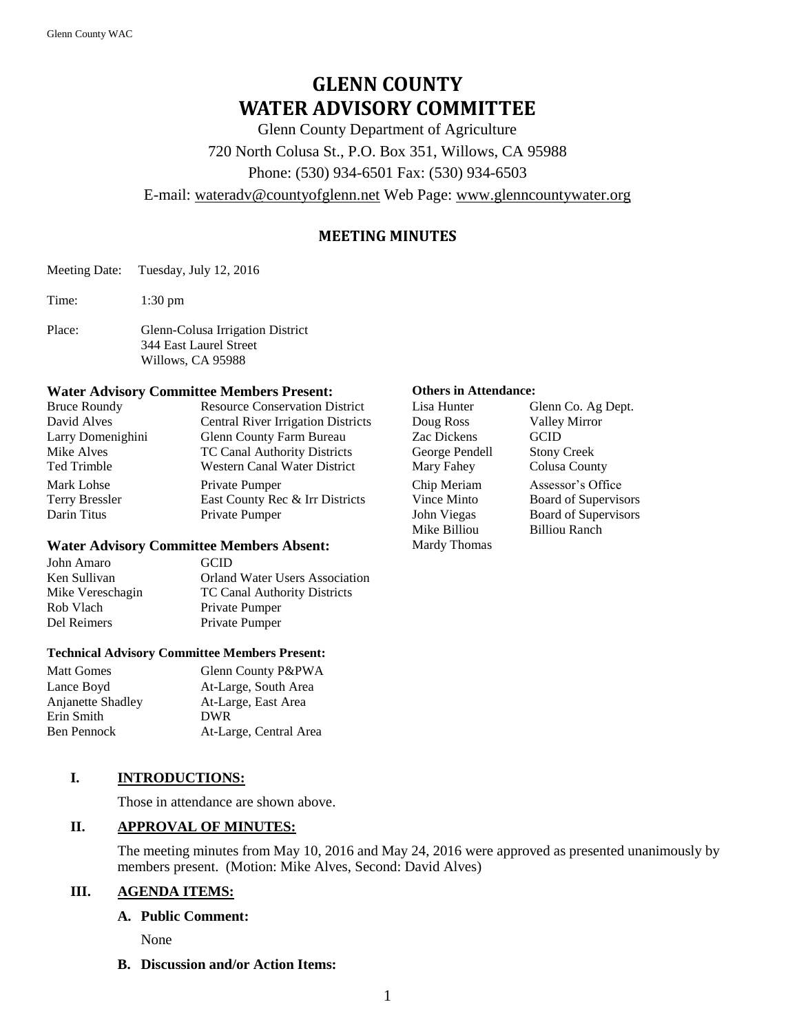# **GLENN COUNTY WATER ADVISORY COMMITTEE**

Glenn County Department of Agriculture

720 North Colusa St., P.O. Box 351, Willows, CA 95988

Phone: (530) 934-6501 Fax: (530) 934-6503

E-mail: [wateradv@countyofglenn.net](mailto:wateradv@countyofglenn.net) Web Page: [www.glenncountywater.org](http://www.glenncountywater.org/)

# **MEETING MINUTES**

Meeting Date: Tuesday, July 12, 2016

Time: 1:30 pm

Place: Glenn-Colusa Irrigation District 344 East Laurel Street Willows, CA 95988

#### **Water Advisory Committee Members Present: Others in Attendance:**

| <b>Bruce Roundy</b> | <b>Resource Conservation District</b>     | Lisa Hunter    | Glenn Co. Ag Dept.   |
|---------------------|-------------------------------------------|----------------|----------------------|
| David Alves         | <b>Central River Irrigation Districts</b> | Doug Ross      | <b>Valley Mirror</b> |
| Larry Domenighini   | Glenn County Farm Bureau                  | Zac Dickens    | <b>GCID</b>          |
| Mike Alves          | TC Canal Authority Districts              | George Pendell | <b>Stony Creek</b>   |
| Ted Trimble         | Western Canal Water District              | Mary Fahey     | Colusa County        |
| Mark Lohse          | Private Pumper                            | Chip Meriam    | Assessor's Office    |
| Terry Bressler      | East County Rec & Irr Districts           | Vince Minto    | Board of Supervisors |
| Darin Titus         | Private Pumper                            | John Viegas    | Board of Supervisors |

### **Water Advisory Committee Members Absent:**

| John Amaro       | <b>GCID</b>                           |
|------------------|---------------------------------------|
| Ken Sullivan     | <b>Orland Water Users Association</b> |
| Mike Vereschagin | <b>TC Canal Authority Districts</b>   |
| Rob Vlach        | Private Pumper                        |
| Del Reimers      | Private Pumper                        |
|                  |                                       |

#### **Technical Advisory Committee Members Present:**

| Matt Gomes               | Glenn County P&PWA     |
|--------------------------|------------------------|
| Lance Boyd               | At-Large, South Area   |
| <b>Anjanette Shadley</b> | At-Large, East Area    |
| Erin Smith               | <b>DWR</b>             |
| Ben Pennock              | At-Large, Central Area |
|                          |                        |

# **I. INTRODUCTIONS:**

Those in attendance are shown above.

# **II. APPROVAL OF MINUTES:**

The meeting minutes from May 10, 2016 and May 24, 2016 were approved as presented unanimously by members present. (Motion: Mike Alves, Second: David Alves)

# **III. AGENDA ITEMS:**

#### **A. Public Comment:**

None

**B. Discussion and/or Action Items:**

| Lisa Hunter    | Glenn Co. Ag Dept.          |
|----------------|-----------------------------|
| Doug Ross      | <b>Valley Mirror</b>        |
| Zac Dickens    | GCID                        |
| George Pendell | <b>Stony Creek</b>          |
| Mary Fahey     | Colusa County               |
| Chip Meriam    | Assessor's Office           |
| Vince Minto    | Board of Supervisors        |
| John Viegas    | <b>Board of Supervisors</b> |
| Mike Billiou   | <b>Billiou Ranch</b>        |
| Mardy Thomas   |                             |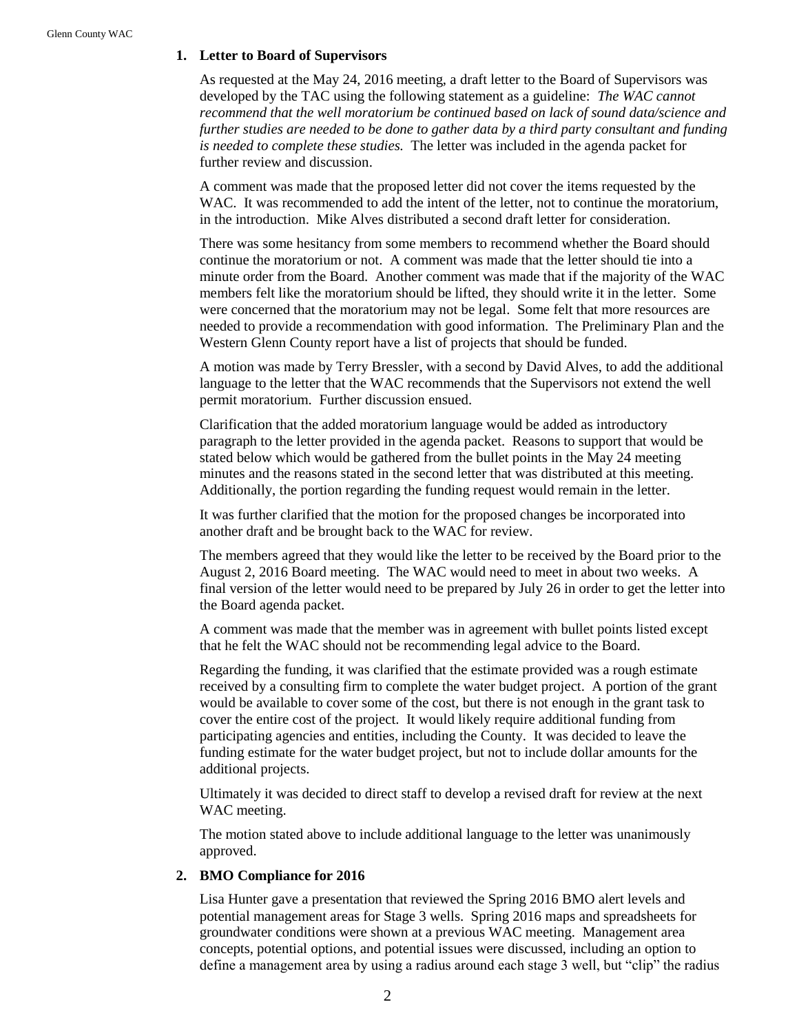#### **1. Letter to Board of Supervisors**

As requested at the May 24, 2016 meeting, a draft letter to the Board of Supervisors was developed by the TAC using the following statement as a guideline: *The WAC cannot recommend that the well moratorium be continued based on lack of sound data/science and further studies are needed to be done to gather data by a third party consultant and funding is needed to complete these studies.* The letter was included in the agenda packet for further review and discussion.

A comment was made that the proposed letter did not cover the items requested by the WAC. It was recommended to add the intent of the letter, not to continue the moratorium, in the introduction. Mike Alves distributed a second draft letter for consideration.

There was some hesitancy from some members to recommend whether the Board should continue the moratorium or not. A comment was made that the letter should tie into a minute order from the Board. Another comment was made that if the majority of the WAC members felt like the moratorium should be lifted, they should write it in the letter. Some were concerned that the moratorium may not be legal. Some felt that more resources are needed to provide a recommendation with good information. The Preliminary Plan and the Western Glenn County report have a list of projects that should be funded.

A motion was made by Terry Bressler, with a second by David Alves, to add the additional language to the letter that the WAC recommends that the Supervisors not extend the well permit moratorium. Further discussion ensued.

Clarification that the added moratorium language would be added as introductory paragraph to the letter provided in the agenda packet. Reasons to support that would be stated below which would be gathered from the bullet points in the May 24 meeting minutes and the reasons stated in the second letter that was distributed at this meeting. Additionally, the portion regarding the funding request would remain in the letter.

It was further clarified that the motion for the proposed changes be incorporated into another draft and be brought back to the WAC for review.

The members agreed that they would like the letter to be received by the Board prior to the August 2, 2016 Board meeting. The WAC would need to meet in about two weeks. A final version of the letter would need to be prepared by July 26 in order to get the letter into the Board agenda packet.

A comment was made that the member was in agreement with bullet points listed except that he felt the WAC should not be recommending legal advice to the Board.

Regarding the funding, it was clarified that the estimate provided was a rough estimate received by a consulting firm to complete the water budget project. A portion of the grant would be available to cover some of the cost, but there is not enough in the grant task to cover the entire cost of the project. It would likely require additional funding from participating agencies and entities, including the County. It was decided to leave the funding estimate for the water budget project, but not to include dollar amounts for the additional projects.

Ultimately it was decided to direct staff to develop a revised draft for review at the next WAC meeting.

The motion stated above to include additional language to the letter was unanimously approved.

# **2. BMO Compliance for 2016**

Lisa Hunter gave a presentation that reviewed the Spring 2016 BMO alert levels and potential management areas for Stage 3 wells. Spring 2016 maps and spreadsheets for groundwater conditions were shown at a previous WAC meeting. Management area concepts, potential options, and potential issues were discussed, including an option to define a management area by using a radius around each stage 3 well, but "clip" the radius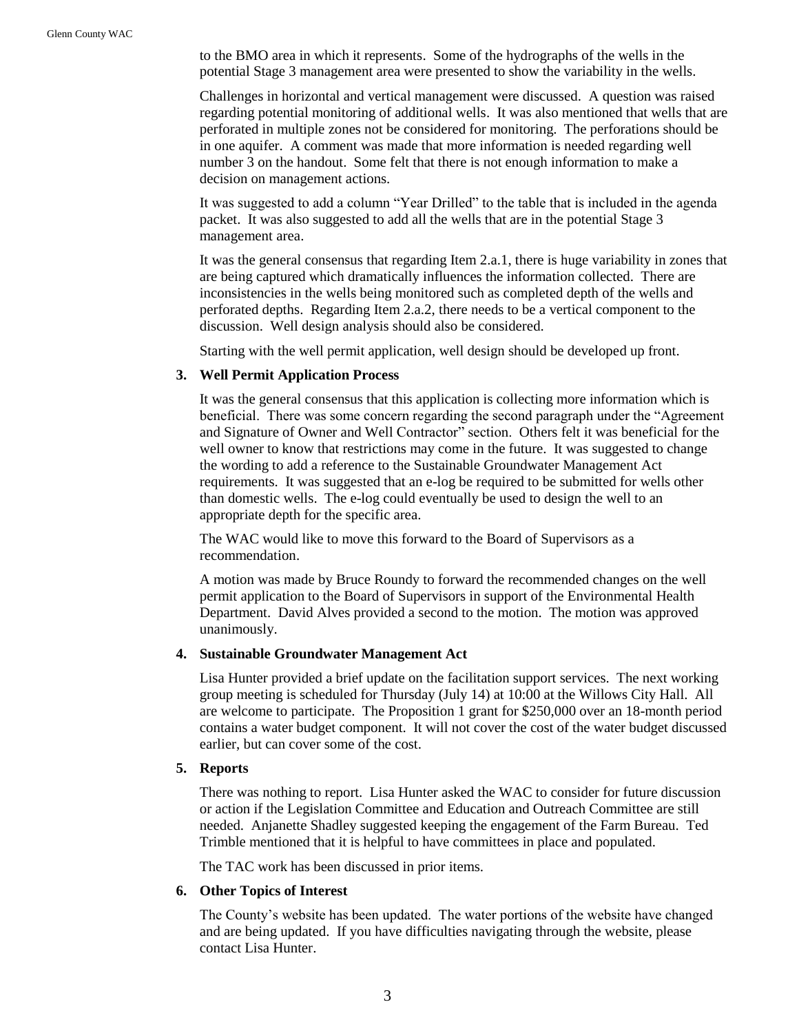to the BMO area in which it represents. Some of the hydrographs of the wells in the potential Stage 3 management area were presented to show the variability in the wells.

Challenges in horizontal and vertical management were discussed. A question was raised regarding potential monitoring of additional wells. It was also mentioned that wells that are perforated in multiple zones not be considered for monitoring. The perforations should be in one aquifer. A comment was made that more information is needed regarding well number 3 on the handout. Some felt that there is not enough information to make a decision on management actions.

It was suggested to add a column "Year Drilled" to the table that is included in the agenda packet. It was also suggested to add all the wells that are in the potential Stage 3 management area.

It was the general consensus that regarding Item 2.a.1, there is huge variability in zones that are being captured which dramatically influences the information collected. There are inconsistencies in the wells being monitored such as completed depth of the wells and perforated depths. Regarding Item 2.a.2, there needs to be a vertical component to the discussion. Well design analysis should also be considered.

Starting with the well permit application, well design should be developed up front.

#### **3. Well Permit Application Process**

It was the general consensus that this application is collecting more information which is beneficial. There was some concern regarding the second paragraph under the "Agreement and Signature of Owner and Well Contractor" section. Others felt it was beneficial for the well owner to know that restrictions may come in the future. It was suggested to change the wording to add a reference to the Sustainable Groundwater Management Act requirements. It was suggested that an e-log be required to be submitted for wells other than domestic wells. The e-log could eventually be used to design the well to an appropriate depth for the specific area.

The WAC would like to move this forward to the Board of Supervisors as a recommendation.

A motion was made by Bruce Roundy to forward the recommended changes on the well permit application to the Board of Supervisors in support of the Environmental Health Department. David Alves provided a second to the motion. The motion was approved unanimously.

#### **4. Sustainable Groundwater Management Act**

Lisa Hunter provided a brief update on the facilitation support services. The next working group meeting is scheduled for Thursday (July 14) at 10:00 at the Willows City Hall. All are welcome to participate. The Proposition 1 grant for \$250,000 over an 18-month period contains a water budget component. It will not cover the cost of the water budget discussed earlier, but can cover some of the cost.

### **5. Reports**

There was nothing to report. Lisa Hunter asked the WAC to consider for future discussion or action if the Legislation Committee and Education and Outreach Committee are still needed. Anjanette Shadley suggested keeping the engagement of the Farm Bureau. Ted Trimble mentioned that it is helpful to have committees in place and populated.

The TAC work has been discussed in prior items.

#### **6. Other Topics of Interest**

The County's website has been updated. The water portions of the website have changed and are being updated. If you have difficulties navigating through the website, please contact Lisa Hunter.